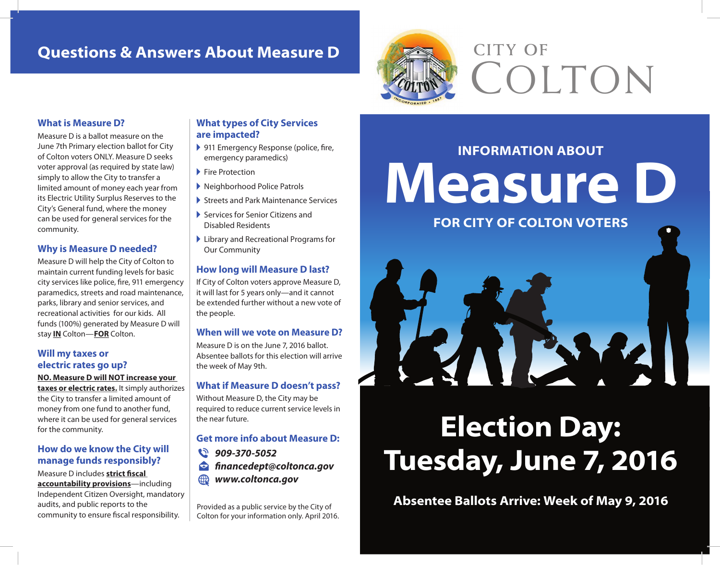# **Questions & Answers About Measure D**



# **CITY OF**  COLTON

#### **What is Measure D?**

Measure D is a ballot measure on the June 7th Primary election ballot for City of Colton voters ONLY. Measure D seeks voter approval (as required by state law) simply to allow the City to transfer a limited amount of money each year from its Electric Utility Surplus Reserves to the City's General fund, where the money can be used for general services for the community.

#### **Why is Measure D needed?**

Measure D will help the City of Colton to maintain current funding levels for basic city services like police, fire, 911 emergency paramedics, streets and road maintenance, parks, library and senior services, and recreational activities for our kids. All funds (100%) generated by Measure D will stay **IN** Colton—**FOR** Colton.

#### **Will my taxes or electric rates go up?**

**NO. Measure D will NOT increase your taxes or electric rates.** It simply authorizes the City to transfer a limited amount of money from one fund to another fund, where it can be used for general services for the community.

#### **How do we know the City will manage funds responsibly?**

Measure D includes **strict fscal accountability provisions**—including Independent Citizen Oversight, mandatory audits, and public reports to the community to ensure fiscal responsibility.

#### **What types of City Services are impacted?**

- ▶ 911 Emergency Response (police, fire, emergency paramedics)
- ▶ Fire Protection
- ! Neighborhood Police Patrols
- ! Streets and Park Maintenance Services
- ! Services for Senior Citizens and Disabled Residents
- ! Library and Recreational Programs for Our Community

#### **How long will Measure D last?**

If City of Colton voters approve Measure D, it will last for 5 years only—and it cannot be extended further without a new vote of the people.

#### **When will we vote on Measure D?**

Measure D is on the June 7, 2016 ballot. Absentee ballots for this election will arrive the week of May 9th.

#### **What if Measure D doesn't pass?**

Without Measure D, the City may be required to reduce current service levels in the near future.

#### **Get more info about Measure D:**

**909-370-5052 fnancedept@coltonca.gov WWW.coltonca.gov** 

Provided as a public service by the City of Colton for your information only. April 2016.

**INFORMATION ABOUT Measure D FOR CITY OF COLTON VOTERS**

# **Election Day:**

# **Tuesday, June 7, 2016**

**Absentee Ballots Arrive: Week of May 9, 2016**